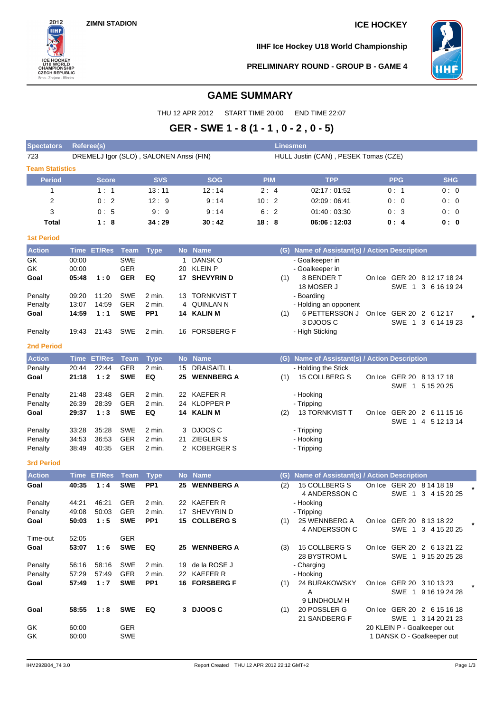

**IIHF Ice Hockey U18 World Championship**



**PRELIMINARY ROUND - GROUP B - GAME 4**

## **GAME SUMMARY**

THU 12 APR 2012 START TIME 20:00 END TIME 22:07

# **GER - SWE 1 - 8 (1 - 1 , 0 - 2 , 0 - 5)**

| <b>Spectators</b>      | <b>Referee(s)</b> |                    |                          |                                         |    |                                      |            |     | Linesmen                                      |            |                                                   |  |
|------------------------|-------------------|--------------------|--------------------------|-----------------------------------------|----|--------------------------------------|------------|-----|-----------------------------------------------|------------|---------------------------------------------------|--|
| 723                    |                   |                    |                          | DREMELJ Igor (SLO), SALONEN Anssi (FIN) |    |                                      |            |     | HULL Justin (CAN), PESEK Tomas (CZE)          |            |                                                   |  |
| <b>Team Statistics</b> |                   |                    |                          |                                         |    |                                      |            |     |                                               |            |                                                   |  |
| <b>Period</b>          |                   | <b>Score</b>       |                          | <b>SVS</b>                              |    | <b>SOG</b>                           | <b>PIM</b> |     | <b>TPP</b>                                    | <b>PPG</b> | <b>SHG</b>                                        |  |
| 1                      |                   | 1:1                |                          | 13:11                                   |    | 12:14                                | 2:4        |     | 02:17:01:52                                   | 0:1        | 0:0                                               |  |
| $\overline{2}$         |                   | 0:2                |                          | 12:9                                    |    | 9:14                                 | 10:2       |     | 02:09:06:41                                   | 0:0        | 0:0                                               |  |
| 3                      |                   | 0:5                |                          | 9:9                                     |    | 9:14                                 | 6:2        |     | 01:40:03:30                                   | 0:3        | 0:0                                               |  |
| Total                  |                   | 1:8                |                          | 34:29                                   |    | 30:42                                | 18:8       |     | 06:06:12:03                                   | 0:4        | 0: 0                                              |  |
| <b>1st Period</b>      |                   |                    |                          |                                         |    |                                      |            |     |                                               |            |                                                   |  |
| <b>Action</b>          |                   | <b>Time ET/Res</b> | <b>Team</b>              | Type                                    |    | No Name                              |            |     | (G) Name of Assistant(s) / Action Description |            |                                                   |  |
| GK                     | 00:00             |                    | <b>SWE</b>               |                                         | 1  | DANSK O                              |            |     | - Goalkeeper in                               |            |                                                   |  |
| GK                     | 00:00             |                    | <b>GER</b>               |                                         | 20 | <b>KLEIN P</b>                       |            |     | - Goalkeeper in                               |            |                                                   |  |
| Goal                   | 05:48             | 1:0                | <b>GER</b>               | EQ                                      |    | 17 SHEVYRIN D                        |            | (1) | 8 BENDER T<br>18 MOSER J                      |            | On Ice GER 20 8 12 17 18 24<br>SWE 1 3 6 16 19 24 |  |
| Penalty                | 09:20             | 11:20              | <b>SWE</b>               | 2 min.                                  |    | 13 TORNKVIST T                       |            |     | - Boarding                                    |            |                                                   |  |
| Penalty                | 13:07             | 14:59              | <b>GER</b>               | 2 min.                                  |    | 4 QUINLAN N                          |            |     | - Holding an opponent                         |            |                                                   |  |
| Goal                   | 14:59             | 1:1                | <b>SWE</b>               | PP <sub>1</sub>                         |    | 14 KALIN M                           |            | (1) | 6 PETTERSSON J                                |            | On Ice GER 20 2 6 12 17                           |  |
|                        |                   |                    |                          |                                         |    |                                      |            |     | 3 DJOOS C                                     |            | SWE 1 3 6 14 19 23                                |  |
| Penalty                | 19:43             | 21:43              | SWE                      | 2 min.                                  |    | 16 FORSBERG F                        |            |     | - High Sticking                               |            |                                                   |  |
| <b>2nd Period</b>      |                   |                    |                          |                                         |    |                                      |            |     |                                               |            |                                                   |  |
| <b>Action</b>          |                   | <b>Time ET/Res</b> | <b>Team</b>              | <b>Type</b>                             |    | No Name                              |            |     | (G) Name of Assistant(s) / Action Description |            |                                                   |  |
| Penalty                | 20:44             | 22:44              | <b>GER</b>               | 2 min.                                  |    | 15 DRAISAITL L                       |            |     | - Holding the Stick                           |            |                                                   |  |
| Goal                   | 21:18             | 1:2                | <b>SWE</b>               | EQ                                      | 25 | <b>WENNBERG A</b>                    |            | (1) | 15 COLLBERG S                                 |            | On Ice GER 20 8 13 17 18<br>SWE 1 5 15 20 25      |  |
| Penalty                | 21:48             | 23:48              | <b>GER</b>               | 2 min.                                  |    | 22 KAEFER R                          |            |     | - Hooking                                     |            |                                                   |  |
| Penalty                | 26:39             | 28:39              | <b>GER</b>               | 2 min.                                  |    | 24 KLOPPER P                         |            |     | - Tripping                                    |            |                                                   |  |
| Goal                   | 29:37             | 1:3                | <b>SWE</b>               | EQ                                      |    | 14 KALIN M                           |            | (2) | 13 TORNKVIST T                                |            | On Ice GER 20 2 6 11 15 16<br>SWE 1 4 5 12 13 14  |  |
| Penalty                | 33:28             | 35:28              | <b>SWE</b>               | 2 min.                                  |    | 3 DJOOS C                            |            |     | - Tripping                                    |            |                                                   |  |
| Penalty                | 34:53             | 36.53              | <b>GER</b>               | 2 min.                                  | 21 | <b>ZIEGLER S</b>                     |            |     | - Hooking                                     |            |                                                   |  |
| Penalty                | 38:49             | 40:35              | <b>GER</b>               | 2 min.                                  |    | 2 KOBERGER S                         |            |     | - Tripping                                    |            |                                                   |  |
| <b>3rd Period</b>      |                   |                    |                          |                                         |    |                                      |            |     |                                               |            |                                                   |  |
| <b>Action</b>          |                   | <b>Time ET/Res</b> | <b>Team</b>              | <b>Type</b>                             |    | No Name                              |            | (G) | Name of Assistant(s) / Action Description     |            |                                                   |  |
| Goal                   | 40:35             | 1:4                | <b>SWE</b>               | PP <sub>1</sub>                         |    | 25 WENNBERG A                        |            | (2) | 15 COLLBERG S                                 |            | On Ice GER 20 8 14 18 19                          |  |
|                        |                   |                    |                          |                                         |    |                                      |            |     | 4 ANDERSSON C                                 |            | SWE 1 3 4 15 20 25                                |  |
| Penalty                | 44:21             | 46:21              | <b>GER</b>               | 2 min.                                  |    | 22 KAEFER R                          |            |     | - Hooking                                     |            |                                                   |  |
| Penalty<br>Goal        | 49:08<br>50:03    | 50:03<br>1:5       | <b>GER</b><br><b>SWE</b> | 2 min.<br>PP <sub>1</sub>               |    | 17 SHEVYRIN D<br><b>15 COLLBERGS</b> |            |     | - Tripping<br>25 WENNBERG A                   |            | On Ice GER 20 8 13 18 22                          |  |
|                        |                   |                    |                          |                                         |    |                                      |            | (1) | 4 ANDERSSON C                                 |            | SWE 1 3 4 15 20 25                                |  |
| Time-out               | 52:05             |                    | <b>GER</b>               |                                         |    |                                      |            |     |                                               |            |                                                   |  |
| Goal                   | 53:07             | 1:6                | <b>SWE</b>               | EQ                                      |    | 25 WENNBERG A                        |            | (3) | 15 COLLBERG S                                 |            | On Ice GER 20 2 6 13 21 22                        |  |
|                        |                   |                    |                          |                                         |    |                                      |            |     | 28 BYSTROM L                                  |            | SWE 1 9 15 20 25 28                               |  |
| Penalty                | 56:16             | 58:16              | <b>SWE</b>               | 2 min.                                  |    | 19 de la ROSE J                      |            |     | - Charging                                    |            |                                                   |  |
| Penalty                | 57:29             | 57:49              | <b>GER</b><br><b>SWE</b> | 2 min.                                  |    | 22 KAEFER R                          |            |     | - Hooking                                     |            |                                                   |  |
| Goal                   | 57:49             | 1:7                |                          | PP <sub>1</sub>                         |    | 16 FORSBERG F                        |            | (1) | 24 BURAKOWSKY<br>Α                            |            | On Ice GER 20 3 10 13 23<br>SWE 1 9 16 19 24 28   |  |
| Goal                   | 58:55             | 1:8                | <b>SWE</b>               | EQ                                      |    | 3 DJOOSC                             |            | (1) | 9 LINDHOLM H<br>20 POSSLER G                  |            | On Ice GER 20 2 6 15 16 18                        |  |
|                        |                   |                    |                          |                                         |    |                                      |            |     | 21 SANDBERG F                                 |            | SWE 1 3 14 20 21 23                               |  |
| GK                     | 60:00             |                    | <b>GER</b>               |                                         |    |                                      |            |     |                                               |            | 20 KLEIN P - Goalkeeper out                       |  |
| GK                     | 60:00             |                    | SWE                      |                                         |    |                                      |            |     |                                               |            | 1 DANSK O - Goalkeeper out                        |  |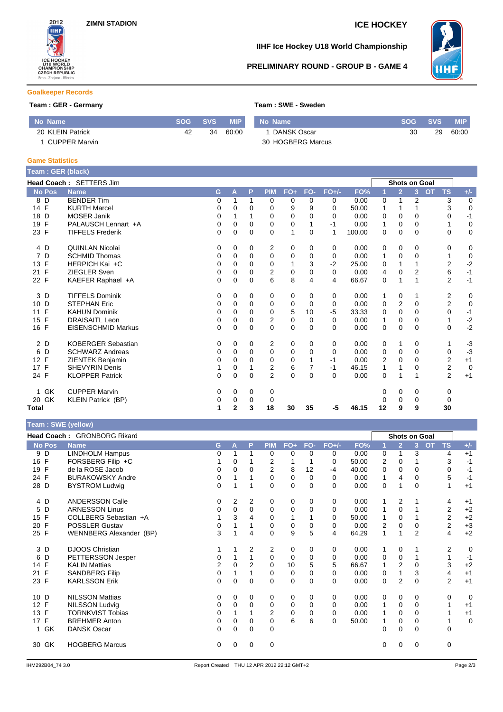

### **IIHF Ice Hockey U18 World Championship**

#### **PRELIMINARY ROUND - GROUP B - GAME 4**



#### **Goalkeeper Records**

## **Team : GER - Germany <b>Team** : SUER - Sermany

| Team : SWE - Sweden |
|---------------------|
|                     |

| No Name              | <b>SOG</b> | <b>SVS</b> | <b>MIP</b> | No Name           | <b>SOG</b> | <b>SVS</b> | MIP.  |
|----------------------|------------|------------|------------|-------------------|------------|------------|-------|
| 20 KLEIN Patrick     | 42         | 34         | 60:00      | DANSK Oscar       | 30         | 29         | 60:00 |
| <b>CUPPER Marvin</b> |            |            |            | 30 HOGBERG Marcus |            |            |       |

#### **Game Statistics**

| Team: GER (black)  |                           |          |              |             |                         |              |          |          |        |    |                      |                |           |                |                |
|--------------------|---------------------------|----------|--------------|-------------|-------------------------|--------------|----------|----------|--------|----|----------------------|----------------|-----------|----------------|----------------|
|                    | Head Coach: SETTERS Jim   |          |              |             |                         |              |          |          |        |    | <b>Shots on Goal</b> |                |           |                |                |
| <b>No Pos</b>      | <b>Name</b>               | G.       | A            | P           | <b>PIM</b>              | $FO+$        | FO-      | $FO+/-$  | FO%    | 1  | $\overline{2}$       | 3 <sup>1</sup> | <b>OT</b> | <b>TS</b>      | $+/-$          |
| 8<br>D             | <b>BENDER Tim</b>         | 0        | 1            | 1           | 0                       | 0            | 0        | 0        | 0.00   | 0  | 1                    | $\overline{2}$ |           | 3              | $\mathbf 0$    |
| 14 F               | <b>KURTH Marcel</b>       | 0        | 0            | 0           | 0                       | 9            | 9        | 0        | 50.00  | 1  | 1                    |                |           | 3              | $\mathbf 0$    |
| D<br>18            | <b>MOSER Janik</b>        | 0        |              |             | 0                       | $\mathbf 0$  | $\Omega$ | 0        | 0.00   | 0  | 0                    | 0              |           | 0              | $-1$           |
| $\mathsf{F}$<br>19 | PALAUSCH Lennart +A       | 0        | 0            | 0           | 0                       | 0            |          | $-1$     | 0.00   | 1  | 0                    | 0              |           | 1              | $\mathbf 0$    |
| 23 F               | <b>TIFFELS Frederik</b>   | 0        | 0            | $\mathbf 0$ | $\mathbf 0$             | $\mathbf{1}$ | 0        | 1        | 100.00 | 0  | 0                    | 0              |           | 0              | $\mathbf 0$    |
| 4 D                | <b>QUINLAN Nicolai</b>    | 0        | 0            | 0           | 2                       | 0            | 0        | 0        | 0.00   | 0  | 0                    | 0              |           | 0              | 0              |
| D<br>7             | <b>SCHMID Thomas</b>      | 0        | 0            | 0           | $\mathbf 0$             | 0            | 0        | 0        | 0.00   | 1  | 0                    | $\Omega$       |           |                | $\mathbf 0$    |
| 13 F               | HERPICH Kai +C            | 0        | $\Omega$     | 0           | 0                       | 1            | 3        | $-2$     | 25.00  | 0  | 1                    |                |           | $\overline{2}$ | $-2$           |
| F<br>21            | <b>ZIEGLER Sven</b>       | 0        | 0            | $\Omega$    | 2                       | 0            | 0        | 0        | 0.00   | 4  | $\mathbf 0$          | $\overline{2}$ |           | 6              | $-1$           |
| 22 F               | KAEFER Raphael +A         | $\Omega$ | $\mathbf 0$  | $\Omega$    | 6                       | 8            | 4        | 4        | 66.67  | 0  | 1                    | 1              |           | $\overline{2}$ | $-1$           |
| 3<br>D             | <b>TIFFELS Dominik</b>    | 0        | 0            | 0           | 0                       | 0            | 0        | 0        | 0.00   | 1  | 0                    |                |           | 2              | 0              |
| 10 D               | <b>STEPHAN Eric</b>       | 0        | 0            | $\Omega$    | 0                       | 0            | $\Omega$ | 0        | 0.00   | 0  | 2                    | 0              |           | $\overline{2}$ | $\mathbf 0$    |
| F<br>11            | <b>KAHUN Dominik</b>      | 0        | 0            | $\Omega$    | 0                       | 5            | 10       | $-5$     | 33.33  | 0  | $\mathbf 0$          | $\Omega$       |           | $\mathbf 0$    | $-1$           |
| F<br>15            | <b>DRAISAITL Leon</b>     | 0        | 0            | $\Omega$    | $\overline{\mathbf{c}}$ | $\mathbf 0$  | $\Omega$ | 0        | 0.00   | 1  | 0                    | 0              |           | 1              |                |
| 16 F               | <b>EISENSCHMID Markus</b> | $\Omega$ | $\Omega$     | 0           | $\Omega$                | $\mathbf 0$  | $\Omega$ | 0        | 0.00   | 0  | $\Omega$             | $\Omega$       |           | 0              | $-2$<br>$-2$   |
| 2 D                | <b>KOBERGER Sebastian</b> | 0        | 0            | 0           | 2                       | 0            | 0        | 0        | 0.00   | 0  | 1                    | 0              |           |                | $-3$           |
| D<br>6             | <b>SCHWARZ Andreas</b>    | 0        | 0            | $\Omega$    | 0                       | 0            | 0        | 0        | 0.00   | 0  | 0                    | 0              |           | 0              | $-3$           |
| $\mathsf{F}$<br>12 | <b>ZIENTEK Benjamin</b>   | 0        | $\Omega$     | 0           | $\Omega$                | $\mathbf 0$  |          | $-1$     | 0.00   | 2  | $\Omega$             | $\Omega$       |           | $\overline{2}$ | $+1$           |
| 17 F               | <b>SHEVYRIN Denis</b>     |          | 0            |             | $\overline{\mathbf{c}}$ | 6            | 7        | $-1$     | 46.15  | 1  | 1                    | 0              |           | 2              | $\overline{0}$ |
| 24 F               | <b>KLOPPER Patrick</b>    | 0        | 0            | 0           | $\overline{2}$          | $\Omega$     | $\Omega$ | $\Omega$ | 0.00   | 0  | 1                    |                |           | $\overline{2}$ | $+1$           |
| GK<br>1            | <b>CUPPER Marvin</b>      | 0        | 0            | 0           | 0                       |              |          |          |        | 0  | 0                    | 0              |           | 0              |                |
| GK<br>20           | <b>KLEIN Patrick (BP)</b> | 0        | 0            | 0           | 0                       |              |          |          |        | 0  | 0                    | 0              |           | 0              |                |
| Total              |                           | 1        | $\mathbf{2}$ | 3           | 18                      | 30           | 35       | -5       | 46.15  | 12 | 9                    | 9              |           | 30             |                |

| Team: SWE (yellow) |                             |                |              |                |                |              |              |          |       |                |                |                |                        |             |
|--------------------|-----------------------------|----------------|--------------|----------------|----------------|--------------|--------------|----------|-------|----------------|----------------|----------------|------------------------|-------------|
|                    | Head Coach: GRONBORG Rikard |                |              |                |                |              |              |          |       |                |                | Shots on Goal  |                        |             |
| <b>No Pos</b>      | <b>Name</b>                 | G.             | $\mathbf{A}$ | P              | <b>PIM</b>     | $FO+$        | FO-          | $FO+/-$  | FO%   |                | $\overline{2}$ | 3              | <b>OT</b><br><b>TS</b> | $+/-$       |
| 9 D                | LINDHOLM Hampus             | 0              |              | 1              | 0              | 0            | $\Omega$     | 0        | 0.00  | 0              | 1              | 3              | 4                      | $+1$        |
| 16 F               | FORSBERG Filip +C           |                | 0            |                | 2              | $\mathbf{1}$ |              | 0        | 50.00 | $\overline{2}$ | 0              | 1              | 3                      | $-1$        |
| $\mathsf{F}$<br>19 | de la ROSE Jacob            | 0              | 0            | 0              | $\overline{2}$ | 8            | 12           | $-4$     | 40.00 | 0              | 0              | 0              | 0                      | $-1$        |
| 24 F               | <b>BURAKOWSKY Andre</b>     | 0              |              |                | $\mathbf 0$    | $\mathbf 0$  | 0            | 0        | 0.00  | $\mathbf{1}$   | 4              | $\mathbf 0$    | 5                      | $-1$        |
| 28 D               | <b>BYSTROM Ludwig</b>       | $\mathbf 0$    |              | 1              | $\Omega$       | $\mathbf 0$  | $\mathbf{0}$ | $\Omega$ | 0.00  | 0              | 1              | $\mathbf{0}$   |                        | $+1$        |
| 4 D                | <b>ANDERSSON Calle</b>      | 0              | 2            | 2              | 0              | 0            | 0            | 0        | 0.00  | 1              | 2              | 1              | 4                      | $+1$        |
| 5 D                | <b>ARNESSON Linus</b>       | 0              | $\Omega$     | 0              | $\Omega$       | $\mathbf 0$  | $\Omega$     | $\Omega$ | 0.00  | 1              | 0              | 1              | $\overline{2}$         | $+2$        |
| 15 F               | COLLBERG Sebastian +A       |                | 3            | 4              | 0              | 1            |              | 0        | 50.00 | 1              | 0              | 1              | $\overline{2}$         | $+2$        |
| F<br>20            | <b>POSSLER Gustav</b>       | $\Omega$       |              | 1              | $\Omega$       | $\mathbf 0$  | $\Omega$     | $\Omega$ | 0.00  | $\overline{2}$ | $\mathbf 0$    | $\Omega$       | $\overline{2}$         | $+3$        |
| 25 F               | WENNBERG Alexander (BP)     | 3              |              | 4              | $\Omega$       | 9            | 5            | 4        | 64.29 | 1              | 1              | $\overline{2}$ | 4                      | $+2$        |
| 3 D                | <b>DJOOS Christian</b>      |                |              | 2              | 2              | 0            | 0            | 0        | 0.00  | 1              | 0              | 1              | 2                      | $\mathbf 0$ |
| D<br>6             | PETTERSSON Jesper           | 0              |              | $\overline{1}$ | $\mathbf 0$    | 0            | $\Omega$     | 0        | 0.00  | 0              | 0              | 1              | $\mathbf{1}$           | $-1$        |
| 14 F               | <b>KALIN Mattias</b>        | $\overline{2}$ | 0            | 2              | 0              | 10           | 5            | 5        | 66.67 | 1              | 2              | $\mathbf 0$    | 3                      | $+2$        |
| 21 F               | <b>SANDBERG Filip</b>       | 0              |              | 1              | $\Omega$       | $\mathbf 0$  | 0            | $\Omega$ | 0.00  | 0              | 1              | 3              | 4                      | $+1$        |
| 23 F               | <b>KARLSSON Erik</b>        | $\Omega$       | 0            | 0              | $\Omega$       | $\mathbf 0$  | $\Omega$     | $\Omega$ | 0.00  | 0              | $\overline{2}$ | $\mathbf{0}$   | $\overline{2}$         | $+1$        |
| 10 D               | <b>NILSSON Mattias</b>      | 0              | 0            | 0              | 0              | 0            | 0            | 0        | 0.00  | 0              | 0              | 0              | 0                      | $\mathbf 0$ |
| 12 F               | <b>NILSSON Ludvig</b>       | 0              | 0            | 0              | 0              | 0            | 0            | 0        | 0.00  | 1              | 0              | 0              |                        | $+1$        |
| 13 F               | <b>TORNKVIST Tobias</b>     | 0              | 1            | 1              | 2              | $\Omega$     | $\Omega$     | $\Omega$ | 0.00  | 1              | 0              | 0              |                        | $+1$        |
| 17 F               | <b>BREHMER Anton</b>        | 0              | 0            | 0              | 0              | 6            | 6            | $\Omega$ | 50.00 |                | 0              | 0              |                        | $\mathbf 0$ |
| GK<br>$\mathbf{1}$ | <b>DANSK Oscar</b>          | 0              | $\Omega$     | 0              | $\mathbf 0$    |              |              |          |       | 0              | $\Omega$       | $\Omega$       | $\Omega$               |             |
| GK<br>30           | <b>HOGBERG Marcus</b>       | 0              | 0            | 0              | $\mathbf 0$    |              |              |          |       | 0              | 0              | 0              | 0                      |             |